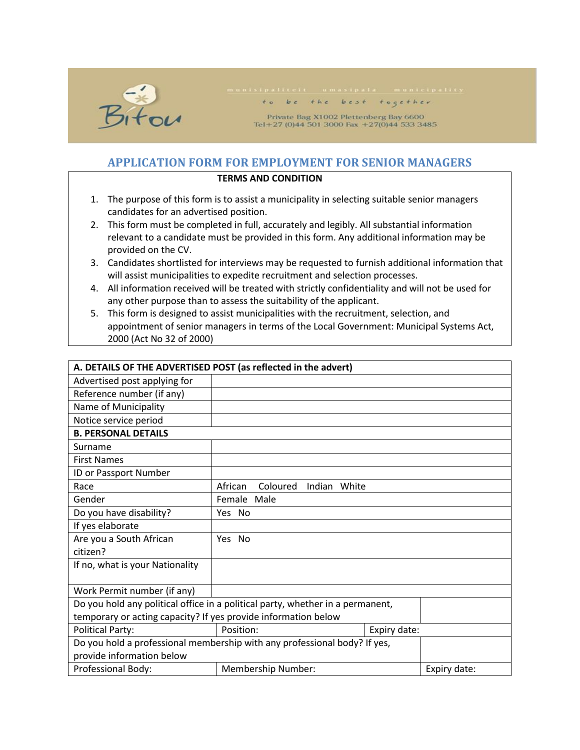

## to be the best together

Private Bag X1002 Plettenberg Bay 6600 Tel+27 (0)44 501 3000 Fax +27(0)44 533 3485

## **APPLICATION FORM FOR EMPLOYMENT FOR SENIOR MANAGERS**

## **TERMS AND CONDITION**

- 1. The purpose of this form is to assist a municipality in selecting suitable senior managers candidates for an advertised position.
- 2. This form must be completed in full, accurately and legibly. All substantial information relevant to a candidate must be provided in this form. Any additional information may be provided on the CV.
- 3. Candidates shortlisted for interviews may be requested to furnish additional information that will assist municipalities to expedite recruitment and selection processes.
- 4. All information received will be treated with strictly confidentiality and will not be used for any other purpose than to assess the suitability of the applicant.
- 5. This form is designed to assist municipalities with the recruitment, selection, and appointment of senior managers in terms of the Local Government: Municipal Systems Act, 2000 (Act No 32 of 2000)

| A. DETAILS OF THE ADVERTISED POST (as reflected in the advert) |                                                                                |              |              |
|----------------------------------------------------------------|--------------------------------------------------------------------------------|--------------|--------------|
| Advertised post applying for                                   |                                                                                |              |              |
| Reference number (if any)                                      |                                                                                |              |              |
| Name of Municipality                                           |                                                                                |              |              |
| Notice service period                                          |                                                                                |              |              |
| <b>B. PERSONAL DETAILS</b>                                     |                                                                                |              |              |
| Surname                                                        |                                                                                |              |              |
| <b>First Names</b>                                             |                                                                                |              |              |
| ID or Passport Number                                          |                                                                                |              |              |
| Race                                                           | African<br>Coloured<br>Indian White                                            |              |              |
| Gender                                                         | Female Male                                                                    |              |              |
| Do you have disability?                                        | Yes No                                                                         |              |              |
| If yes elaborate                                               |                                                                                |              |              |
| Are you a South African                                        | Yes No                                                                         |              |              |
| citizen?                                                       |                                                                                |              |              |
| If no, what is your Nationality                                |                                                                                |              |              |
|                                                                |                                                                                |              |              |
| Work Permit number (if any)                                    |                                                                                |              |              |
|                                                                | Do you hold any political office in a political party, whether in a permanent, |              |              |
| temporary or acting capacity? If yes provide information below |                                                                                |              |              |
| <b>Political Party:</b>                                        | Position:                                                                      | Expiry date: |              |
|                                                                | Do you hold a professional membership with any professional body? If yes,      |              |              |
| provide information below                                      |                                                                                |              |              |
| Professional Body:                                             | Membership Number:                                                             |              | Expiry date: |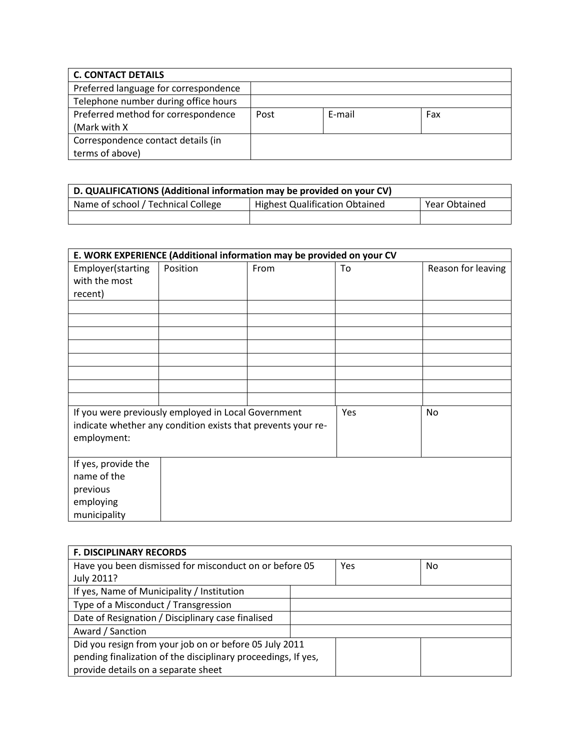| <b>C. CONTACT DETAILS</b>             |      |        |     |
|---------------------------------------|------|--------|-----|
| Preferred language for correspondence |      |        |     |
| Telephone number during office hours  |      |        |     |
| Preferred method for correspondence   | Post | E-mail | Fax |
| (Mark with X)                         |      |        |     |
| Correspondence contact details (in    |      |        |     |
| terms of above)                       |      |        |     |

| D. QUALIFICATIONS (Additional information may be provided on your CV) |                                       |                      |  |
|-----------------------------------------------------------------------|---------------------------------------|----------------------|--|
| Name of school / Technical College                                    | <b>Highest Qualification Obtained</b> | <b>Year Obtained</b> |  |
|                                                                       |                                       |                      |  |

| E. WORK EXPERIENCE (Additional information may be provided on your CV |                                                              |      |     |                    |
|-----------------------------------------------------------------------|--------------------------------------------------------------|------|-----|--------------------|
| Employer(starting                                                     | Position                                                     | From | To  | Reason for leaving |
| with the most                                                         |                                                              |      |     |                    |
| recent)                                                               |                                                              |      |     |                    |
|                                                                       |                                                              |      |     |                    |
|                                                                       |                                                              |      |     |                    |
|                                                                       |                                                              |      |     |                    |
|                                                                       |                                                              |      |     |                    |
|                                                                       |                                                              |      |     |                    |
|                                                                       |                                                              |      |     |                    |
|                                                                       |                                                              |      |     |                    |
|                                                                       |                                                              |      |     |                    |
|                                                                       | If you were previously employed in Local Government          |      | Yes | No                 |
|                                                                       | indicate whether any condition exists that prevents your re- |      |     |                    |
| employment:                                                           |                                                              |      |     |                    |
|                                                                       |                                                              |      |     |                    |
| If yes, provide the                                                   |                                                              |      |     |                    |
| name of the                                                           |                                                              |      |     |                    |
| previous                                                              |                                                              |      |     |                    |
| employing                                                             |                                                              |      |     |                    |
| municipality                                                          |                                                              |      |     |                    |

| <b>F. DISCIPLINARY RECORDS</b>                                |  |     |     |
|---------------------------------------------------------------|--|-----|-----|
| Have you been dismissed for misconduct on or before 05        |  | Yes | No. |
| July 2011?                                                    |  |     |     |
| If yes, Name of Municipality / Institution                    |  |     |     |
| Type of a Misconduct / Transgression                          |  |     |     |
| Date of Resignation / Disciplinary case finalised             |  |     |     |
| Award / Sanction                                              |  |     |     |
| Did you resign from your job on or before 05 July 2011        |  |     |     |
| pending finalization of the disciplinary proceedings, If yes, |  |     |     |
| provide details on a separate sheet                           |  |     |     |